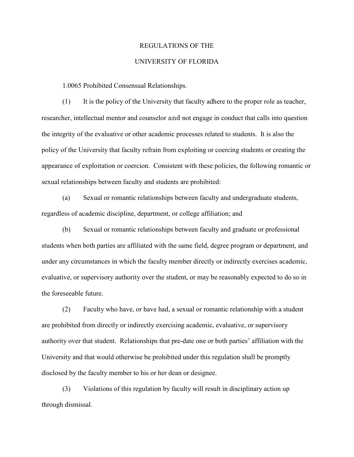## REGULATIONS OF THE

## UNIVERSITY OF FLORIDA

1.0065 Prohibited Consensual Relationships.

(1) It is the policy of the University that faculty adhere to the proper role as teacher, researcher, intellectual mentor and counselor and not engage in conduct that calls into question the integrity of the evaluative or other academic processes related to students. It is also the policy of the University that faculty refrain from exploiting or coercing students or creating the appearance of exploitation or coercion. Consistent with these policies, the following romantic or sexual relationships between faculty and students are prohibited:

(a) Sexual or romantic relationships between faculty and undergraduate students, regardless of academic discipline, department, or college affiliation; and

(b) Sexual or romantic relationships between faculty and graduate or professional students when both parties are affiliated with the same field, degree program or department, and under any circumstances in which the faculty member directly or indirectly exercises academic, evaluative, or supervisory authority over the student, or may be reasonably expected to do so in the foreseeable future.

(2) Faculty who have, or have had, a sexual or romantic relationship with a student are prohibited from directly or indirectly exercising academic, evaluative, or supervisory authority over that student. Relationships that pre-date one or both parties' affiliation with the University and that would otherwise be prohibited under this regulation shall be promptly disclosed by the faculty member to his or her dean or designee.

(3) Violations of this regulation by faculty will result in disciplinary action up through dismissal.